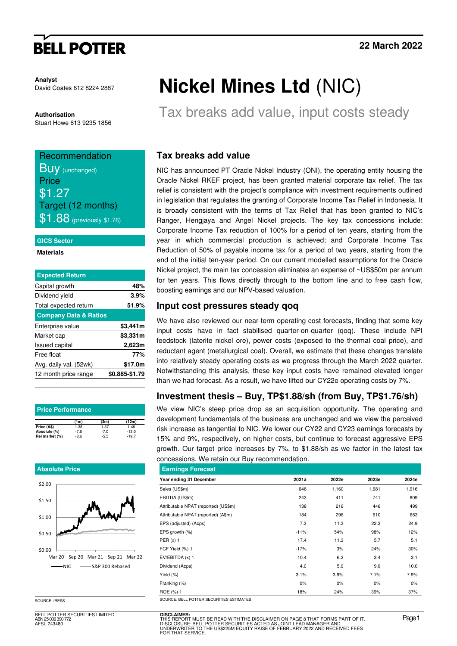# **BELL POTTER**

**Analyst**  David Coates 612 8224 2887

**Authorisation**  Stuart Howe 613 9235 1856

# Recommendation **BUV** (unchanged) Price \$1.27 Target (12 months)  $$1.88$  (previously \$1.76)

#### **GICS Sector**

**Materials** 

| 48%                              |
|----------------------------------|
| 3.9%                             |
| 51.9%                            |
| <b>Company Data &amp; Ratios</b> |
| \$3,441m                         |
| \$3,331m                         |
| 2,623m                           |
| 77%                              |
| \$17.0m                          |
| \$0.885-\$1.79                   |
|                                  |

| <b>Price Performance</b> |        |        |         |  |  |  |  |  |  |  |
|--------------------------|--------|--------|---------|--|--|--|--|--|--|--|
|                          | (1m)   | (3m)   | (12m)   |  |  |  |  |  |  |  |
| Price (A\$)              | 1.38   | 1.37   | 1.46    |  |  |  |  |  |  |  |
| Absolute (%)             | $-7.6$ | $-7.0$ | $-13.0$ |  |  |  |  |  |  |  |
| Rel market (%)           | $-8.6$ | $-5.5$ | $-19.7$ |  |  |  |  |  |  |  |

#### **Absolute Price**



SOURCE: IRESS

BELL POTTER SECURITIES LIMITED ABN 25 006 390 772 AFSL 243480

# **Nickel Mines Ltd** (NIC)

Tax breaks add value, input costs steady

### **Tax breaks add value**

NIC has announced PT Oracle Nickel Industry (ONI), the operating entity housing the Oracle Nickel RKEF project, has been granted material corporate tax relief. The tax relief is consistent with the project's compliance with investment requirements outlined in legislation that regulates the granting of Corporate Income Tax Relief in Indonesia. It is broadly consistent with the terms of Tax Relief that has been granted to NIC's Ranger, Hengjaya and Angel Nickel projects. The key tax concessions include: Corporate Income Tax reduction of 100% for a period of ten years, starting from the year in which commercial production is achieved; and Corporate Income Tax Reduction of 50% of payable income tax for a period of two years, starting from the end of the initial ten-year period. On our current modelled assumptions for the Oracle Nickel project, the main tax concession eliminates an expense of ~US\$50m per annum for ten years. This flows directly through to the bottom line and to free cash flow, boosting earnings and our NPV-based valuation.

#### **Input cost pressures steady qoq**

We have also reviewed our near-term operating cost forecasts, finding that some key input costs have in fact stabilised quarter-on-quarter (qoq). These include NPI feedstock (laterite nickel ore), power costs (exposed to the thermal coal price), and reductant agent (metallurgical coal). Overall, we estimate that these changes translate into relatively steady operating costs as we progress through the March 2022 quarter. Notwithstanding this analysis, these key input costs have remained elevated longer than we had forecast. As a result, we have lifted our CY22e operating costs by 7%.

### **Investment thesis – Buy, TP\$1.88/sh (from Buy, TP\$1.76/sh)**

We view NIC's steep price drop as an acquisition opportunity. The operating and development fundamentals of the business are unchanged and we view the perceived risk increase as tangential to NIC. We lower our CY22 and CY23 earnings forecasts by 15% and 9%, respectively, on higher costs, but continue to forecast aggressive EPS growth. Our target price increases by 7%, to \$1.88/sh as we factor in the latest tax concessions. We retain our Buy recommendation.

| <b>Earnings Forecast</b>                 |        |       |       |       |
|------------------------------------------|--------|-------|-------|-------|
| Year ending 31 December                  | 2021a  | 2022e | 2023e | 2024e |
| Sales (US\$m)                            | 646    | 1,160 | 1,681 | 1,916 |
| EBITDA (US\$m)                           | 243    | 411   | 741   | 809   |
| Attributable NPAT (reported) (US\$m)     | 138    | 216   | 446   | 499   |
| Attributable NPAT (reported) (A\$m)      | 184    | 296   | 610   | 683   |
| EPS (adjusted) (A¢ps)                    | 7.3    | 11.3  | 22.3  | 24.9  |
| EPS growth (%)                           | $-11%$ | 54%   | 98%   | 12%   |
| PER $(x)$ 1                              | 17.4   | 11.3  | 5.7   | 5.1   |
| FCF Yield (%) 1                          | $-17%$ | 3%    | 24%   | 30%   |
| EV/EBITDA (x) 1                          | 10.4   | 6.2   | 3.4   | 3.1   |
| Dividend (A¢ps)                          | 4.0    | 5.0   | 9.0   | 10.0  |
| Yield $(\%)$                             | 3.1%   | 3.9%  | 7.1%  | 7.9%  |
| Franking (%)                             | $0\%$  | 0%    | $0\%$ | 0%    |
| ROE (%) 1                                | 18%    | 24%   | 39%   | 37%   |
| SOURCE: BELL POTTER SECURITIES ESTIMATES |        |       |       |       |

**DISCLAIMER:**<br>THIS REPORT MUST BE READ WITH THE DISCLAIMER ON PAGE 8 THAT FORMS PART OF IT.<br>DISCLOSURE: BELL POTTER SECURITIES ACTED AS JOINT LEAD MANAGER AND<br>UNDERWRITER TO THE US\$225M EQUITY RAISE OF FEBRUARY 2022 AND RE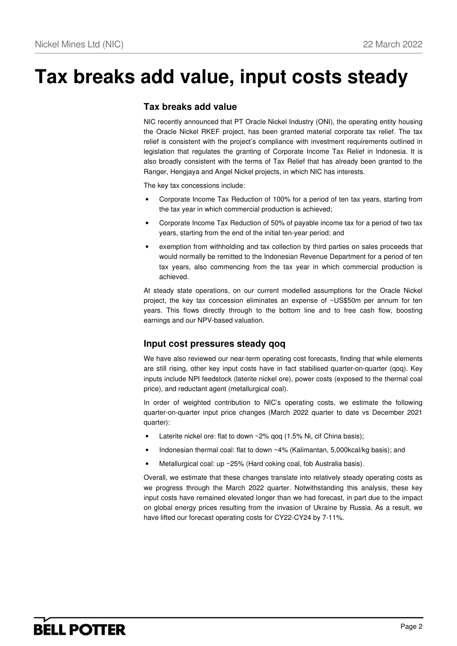# **Tax breaks add value, input costs steady**

#### **Tax breaks add value**

NIC recently announced that PT Oracle Nickel Industry (ONI), the operating entity housing the Oracle Nickel RKEF project, has been granted material corporate tax relief. The tax relief is consistent with the project's compliance with investment requirements outlined in legislation that regulates the granting of Corporate Income Tax Relief in Indonesia. It is also broadly consistent with the terms of Tax Relief that has already been granted to the Ranger, Hengjaya and Angel Nickel projects, in which NIC has interests.

The key tax concessions include:

- Corporate Income Tax Reduction of 100% for a period of ten tax years, starting from the tax year in which commercial production is achieved;
- Corporate Income Tax Reduction of 50% of payable income tax for a period of two tax years, starting from the end of the initial ten-year period; and
- exemption from withholding and tax collection by third parties on sales proceeds that would normally be remitted to the Indonesian Revenue Department for a period of ten tax years, also commencing from the tax year in which commercial production is achieved.

At steady state operations, on our current modelled assumptions for the Oracle Nickel project, the key tax concession eliminates an expense of ~US\$50m per annum for ten years. This flows directly through to the bottom line and to free cash flow, boosting earnings and our NPV-based valuation.

### **Input cost pressures steady qoq**

We have also reviewed our near-term operating cost forecasts, finding that while elements are still rising, other key input costs have in fact stabilised quarter-on-quarter (qoq). Key inputs include NPI feedstock (laterite nickel ore), power costs (exposed to the thermal coal price), and reductant agent (metallurgical coal).

In order of weighted contribution to NIC's operating costs, we estimate the following quarter-on-quarter input price changes (March 2022 quarter to date vs December 2021 quarter):

- Laterite nickel ore: flat to down  $\sim$  2% qoq (1.5% Ni, cif China basis);
- Indonesian thermal coal: flat to down ~4% (Kalimantan, 5,000kcal/kg basis); and
- Metallurgical coal: up ~25% (Hard coking coal, fob Australia basis).

Overall, we estimate that these changes translate into relatively steady operating costs as we progress through the March 2022 quarter. Notwithstanding this analysis, these key input costs have remained elevated longer than we had forecast, in part due to the impact on global energy prices resulting from the invasion of Ukraine by Russia. As a result, we have lifted our forecast operating costs for CY22-CY24 by 7-11%.

# **BELL POTTER**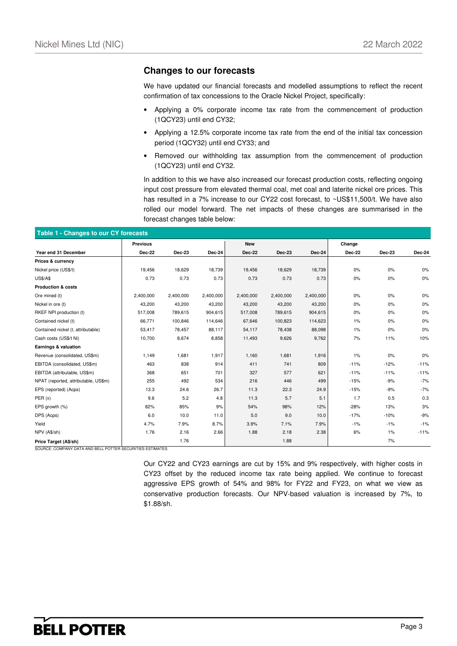#### **Changes to our forecasts**

We have updated our financial forecasts and modelled assumptions to reflect the recent confirmation of tax concessions to the Oracle Nickel Project, specifically:

- Applying a 0% corporate income tax rate from the commencement of production (1QCY23) until end CY32;
- Applying a 12.5% corporate income tax rate from the end of the initial tax concession period (1QCY32) until end CY33; and
- Removed our withholding tax assumption from the commencement of production (1QCY23) until end CY32.

In addition to this we have also increased our forecast production costs, reflecting ongoing input cost pressure from elevated thermal coal, met coal and laterite nickel ore prices. This has resulted in a 7% increase to our CY22 cost forecast, to ~US\$11,500/t. We have also rolled our model forward. The net impacts of these changes are summarised in the forecast changes table below:

|                                      | <b>Previous</b> |               |               | <b>New</b>    |               |               | Change |               |               |
|--------------------------------------|-----------------|---------------|---------------|---------------|---------------|---------------|--------|---------------|---------------|
| Year end 31 December                 | Dec-22          | <b>Dec-23</b> | <b>Dec-24</b> | <b>Dec-22</b> | <b>Dec-23</b> | <b>Dec-24</b> | Dec-22 | <b>Dec-23</b> | <b>Dec-24</b> |
| Prices & currency                    |                 |               |               |               |               |               |        |               |               |
| Nickel price (US\$/t)                | 19,456          | 18,629        | 18,739        | 19,456        | 18,629        | 18,739        | 0%     | 0%            | $0\%$         |
| <b>US\$/A\$</b>                      | 0.73            | 0.73          | 0.73          | 0.73          | 0.73          | 0.73          | $0\%$  | 0%            | $0\%$         |
| <b>Production &amp; costs</b>        |                 |               |               |               |               |               |        |               |               |
| Ore mined (t)                        | 2,400,000       | 2,400,000     | 2,400,000     | 2,400,000     | 2,400,000     | 2,400,000     | 0%     | $0\%$         | 0%            |
| Nickel in ore (t)                    | 43,200          | 43,200        | 43,200        | 43,200        | 43,200        | 43,200        | 0%     | 0%            | 0%            |
| RKEF NPI production (t)              | 517,008         | 789,615       | 904,615       | 517,008       | 789,615       | 904,615       | 0%     | 0%            | $0\%$         |
| Contained nickel (t)                 | 66,771          | 100,846       | 114,646       | 67,646        | 100,823       | 114,623       | 1%     | 0%            | $0\%$         |
| Contained nickel (t, attributable)   | 53,417          | 78,457        | 88,117        | 54,117        | 78,438        | 88,098        | $1\%$  | 0%            | $0\%$         |
| Cash costs (US\$/t Ni)               | 10,700          | 8,674         | 8,858         | 11,493        | 9,626         | 9,762         | 7%     | 11%           | 10%           |
| Earnings & valuation                 |                 |               |               |               |               |               |        |               |               |
| Revenue (consolidated, US\$m)        | 1,149           | 1,681         | 1,917         | 1,160         | 1,681         | 1,916         | 1%     | 0%            | 0%            |
| EBITDA (consolidated, US\$m)         | 463             | 838           | 914           | 411           | 741           | 809           | $-11%$ | $-12%$        | $-11%$        |
| EBITDA (attributable, US\$m)         | 368             | 651           | 701           | 327           | 577           | 621           | $-11%$ | $-11%$        | $-11%$        |
| NPAT (reported, attributable, US\$m) | 255             | 492           | 534           | 216           | 446           | 499           | $-15%$ | $-9%$         | $-7%$         |
| EPS (reported) (Acps)                | 13.3            | 24.6          | 26.7          | 11.3          | 22.3          | 24.9          | $-15%$ | $-9%$         | $-7%$         |
| PER(x)                               | 9.6             | 5.2           | 4.8           | 11.3          | 5.7           | 5.1           | 1.7    | 0.5           | 0.3           |
| EPS growth (%)                       | 82%             | 85%           | 9%            | 54%           | 98%           | 12%           | $-28%$ | 13%           | 3%            |
| DPS (Acps)                           | 6.0             | 10.0          | 11.0          | 5.0           | 9.0           | 10.0          | $-17%$ | $-10%$        | $-9%$         |
| Yield                                | 4.7%            | 7.9%          | 8.7%          | 3.9%          | 7.1%          | 7.9%          | $-1%$  | $-1%$         | $-1%$         |
| NPV (A\$/sh)                         | 1.76            | 2.16          | 2.66          | 1.88          | 2.18          | 2.38          | 6%     | 1%            | $-11%$        |
| Price Target (A\$/sh)                |                 | 1.76          |               |               | 1.88          |               |        | 7%            |               |

Our CY22 and CY23 earnings are cut by 15% and 9% respectively, with higher costs in CY23 offset by the reduced income tax rate being applied. We continue to forecast aggressive EPS growth of 54% and 98% for FY22 and FY23, on what we view as conservative production forecasts. Our NPV-based valuation is increased by 7%, to \$1.88/sh.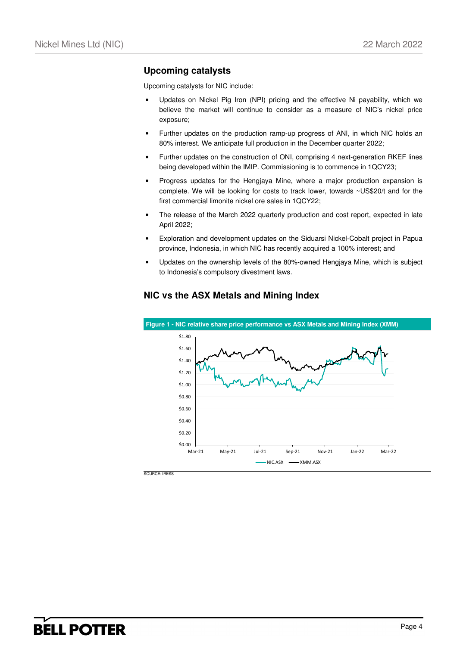### **Upcoming catalysts**

Upcoming catalysts for NIC include:

- Updates on Nickel Pig Iron (NPI) pricing and the effective Ni payability, which we believe the market will continue to consider as a measure of NIC's nickel price exposure;
- Further updates on the production ramp-up progress of ANI, in which NIC holds an 80% interest. We anticipate full production in the December quarter 2022;
- Further updates on the construction of ONI, comprising 4 next-generation RKEF lines being developed within the IMIP. Commissioning is to commence in 1QCY23;
- Progress updates for the Hengjaya Mine, where a major production expansion is complete. We will be looking for costs to track lower, towards ~US\$20/t and for the first commercial limonite nickel ore sales in 1QCY22;
- The release of the March 2022 quarterly production and cost report, expected in late April 2022;
- Exploration and development updates on the Siduarsi Nickel-Cobalt project in Papua province, Indonesia, in which NIC has recently acquired a 100% interest; and
- Updates on the ownership levels of the 80%-owned Hengjaya Mine, which is subject to Indonesia's compulsory divestment laws.



#### **NIC vs the ASX Metals and Mining Index**

SOURCE: IRESS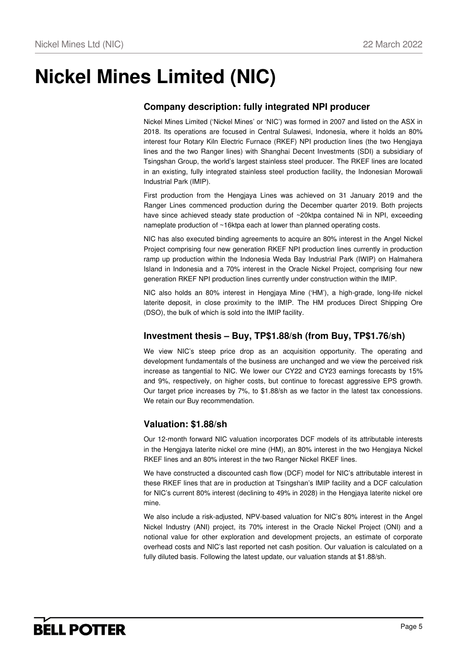# **Nickel Mines Limited (NIC)**

## **Company description: fully integrated NPI producer**

Nickel Mines Limited ('Nickel Mines' or 'NIC') was formed in 2007 and listed on the ASX in 2018. Its operations are focused in Central Sulawesi, Indonesia, where it holds an 80% interest four Rotary Kiln Electric Furnace (RKEF) NPI production lines (the two Hengjaya lines and the two Ranger lines) with Shanghai Decent Investments (SDI) a subsidiary of Tsingshan Group, the world's largest stainless steel producer. The RKEF lines are located in an existing, fully integrated stainless steel production facility, the Indonesian Morowali Industrial Park (IMIP).

First production from the Hengjaya Lines was achieved on 31 January 2019 and the Ranger Lines commenced production during the December quarter 2019. Both projects have since achieved steady state production of ~20ktpa contained Ni in NPI, exceeding nameplate production of ~16ktpa each at lower than planned operating costs.

NIC has also executed binding agreements to acquire an 80% interest in the Angel Nickel Project comprising four new generation RKEF NPI production lines currently in production ramp up production within the Indonesia Weda Bay Industrial Park (IWIP) on Halmahera Island in Indonesia and a 70% interest in the Oracle Nickel Project, comprising four new generation RKEF NPI production lines currently under construction within the IMIP.

NIC also holds an 80% interest in Hengjaya Mine ('HM'), a high-grade, long-life nickel laterite deposit, in close proximity to the IMIP. The HM produces Direct Shipping Ore (DSO), the bulk of which is sold into the IMIP facility.

### **Investment thesis – Buy, TP\$1.88/sh (from Buy, TP\$1.76/sh)**

We view NIC's steep price drop as an acquisition opportunity. The operating and development fundamentals of the business are unchanged and we view the perceived risk increase as tangential to NIC. We lower our CY22 and CY23 earnings forecasts by 15% and 9%, respectively, on higher costs, but continue to forecast aggressive EPS growth. Our target price increases by 7%, to \$1.88/sh as we factor in the latest tax concessions. We retain our Buy recommendation.

### **Valuation: \$1.88/sh**

Our 12-month forward NIC valuation incorporates DCF models of its attributable interests in the Hengjaya laterite nickel ore mine (HM), an 80% interest in the two Hengjaya Nickel RKEF lines and an 80% interest in the two Ranger Nickel RKEF lines.

We have constructed a discounted cash flow (DCF) model for NIC's attributable interest in these RKEF lines that are in production at Tsingshan's IMIP facility and a DCF calculation for NIC's current 80% interest (declining to 49% in 2028) in the Hengiaya laterite nickel ore mine.

We also include a risk-adjusted, NPV-based valuation for NIC's 80% interest in the Angel Nickel Industry (ANI) project, its 70% interest in the Oracle Nickel Project (ONI) and a notional value for other exploration and development projects, an estimate of corporate overhead costs and NIC's last reported net cash position. Our valuation is calculated on a fully diluted basis. Following the latest update, our valuation stands at \$1.88/sh.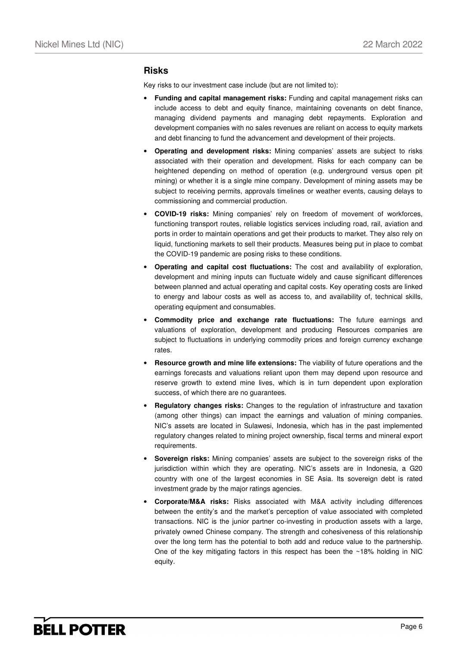#### **Risks**

Key risks to our investment case include (but are not limited to):

- **Funding and capital management risks:** Funding and capital management risks can include access to debt and equity finance, maintaining covenants on debt finance, managing dividend payments and managing debt repayments. Exploration and development companies with no sales revenues are reliant on access to equity markets and debt financing to fund the advancement and development of their projects.
- **Operating and development risks:** Mining companies' assets are subject to risks associated with their operation and development. Risks for each company can be heightened depending on method of operation (e.g. underground versus open pit mining) or whether it is a single mine company. Development of mining assets may be subject to receiving permits, approvals timelines or weather events, causing delays to commissioning and commercial production.
- **COVID-19 risks:** Mining companies' rely on freedom of movement of workforces, functioning transport routes, reliable logistics services including road, rail, aviation and ports in order to maintain operations and get their products to market. They also rely on liquid, functioning markets to sell their products. Measures being put in place to combat the COVID-19 pandemic are posing risks to these conditions.
- **Operating and capital cost fluctuations:** The cost and availability of exploration, development and mining inputs can fluctuate widely and cause significant differences between planned and actual operating and capital costs. Key operating costs are linked to energy and labour costs as well as access to, and availability of, technical skills, operating equipment and consumables.
- **Commodity price and exchange rate fluctuations:** The future earnings and valuations of exploration, development and producing Resources companies are subject to fluctuations in underlying commodity prices and foreign currency exchange rates.
- **Resource growth and mine life extensions:** The viability of future operations and the earnings forecasts and valuations reliant upon them may depend upon resource and reserve growth to extend mine lives, which is in turn dependent upon exploration success, of which there are no guarantees.
- **Regulatory changes risks:** Changes to the regulation of infrastructure and taxation (among other things) can impact the earnings and valuation of mining companies. NIC's assets are located in Sulawesi, Indonesia, which has in the past implemented regulatory changes related to mining project ownership, fiscal terms and mineral export requirements.
- **Sovereign risks:** Mining companies' assets are subject to the sovereign risks of the jurisdiction within which they are operating. NIC's assets are in Indonesia, a G20 country with one of the largest economies in SE Asia. Its sovereign debt is rated investment grade by the major ratings agencies.
- **Corporate/M&A risks:** Risks associated with M&A activity including differences between the entity's and the market's perception of value associated with completed transactions. NIC is the junior partner co-investing in production assets with a large, privately owned Chinese company. The strength and cohesiveness of this relationship over the long term has the potential to both add and reduce value to the partnership. One of the key mitigating factors in this respect has been the  $\sim$ 18% holding in NIC equity.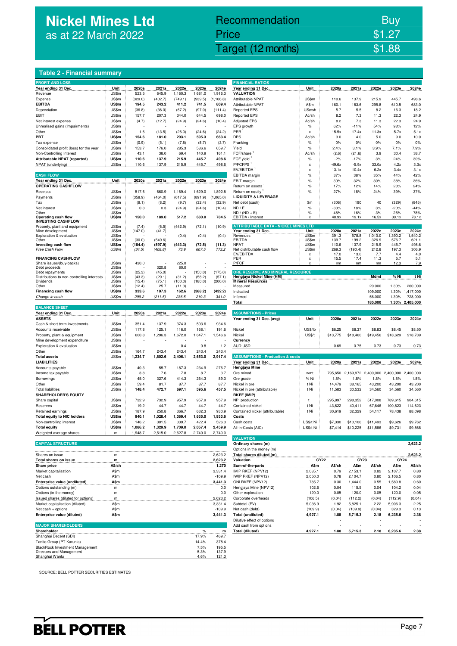# **Nickel Mines Ltd**  as at 22 March 2022

# Nickel Mines Ltd (Nickel Mines Ltd (Nickel Mines Ltd (Nickel Mines Ltd (Nickel Mines Ltd Control) \$1.88 Recommendation Buy Price \$1.27

#### **Table 2 - Financial summary**

| <b>PROFIT AND LOSS</b>                                              |                       |                   |                    |                  |                  |                  | <b>FINANCIAL RATIOS</b>                     |                        |                |                                                 |                |                |                 |
|---------------------------------------------------------------------|-----------------------|-------------------|--------------------|------------------|------------------|------------------|---------------------------------------------|------------------------|----------------|-------------------------------------------------|----------------|----------------|-----------------|
| Year ending 31 Dec.                                                 | Unit                  | 2020a             | 2021a              | 2022e            | 2023e            | 2024e            | Year ending 31 Dec.                         | Unit                   | 2020a          | 2021a                                           | 2022e          | 2023e          | 2024e           |
| Revenue                                                             | US\$m                 | 523.5             | 645.9              | 1,160.3          | 1,681.0          | 1,916.3          | <b>VALUATION</b>                            |                        |                |                                                 |                |                |                 |
| Expense                                                             | US\$m                 | (329.0)           | (402.7)            | (749.1)          | (939.5)          | (1.106.8)        | Attributable NPAT                           | US\$m                  | 110.6          | 137.9                                           | 215.9          | 445.7          | 498.6           |
| <b>EBITDA</b>                                                       | US\$m                 | 194.5             | 243.2              | 411.2            | 741.5            | 809.4            | Attributable NPAT                           | A\$m                   | 160.1          | 183.6                                           | 295.8          | 610.5          | 683.0           |
| Depreciation                                                        | US\$m                 | (36.8)            | (36.0)             | (67.2)           | (97.0)           | (111.4)          | <b>Reported EPS</b>                         | USc/sh                 | 5.7            | 5.5                                             | 8.2            | 16.3           | 18.2            |
| EBIT                                                                | US\$m                 | 157.7             | 207.3              | 344.0            | 644.5            | 698.0            | <b>Reported EPS</b>                         | Ac/sh                  | 8.2            | 7.3                                             | 11.3           | 22.3           | 24.9            |
| Net interest expense                                                | US\$m                 | (4.7)             | (12.7)             | (24.9)           | (24.6)           | (10.4)           | <b>Adjusted EPS</b>                         | Ac/sh                  | 8.2            | 7.3                                             | 11.3           | 22.3           | 24.9            |
| Unrealised gains (Impairments)                                      | US\$m                 |                   |                    |                  |                  |                  | EPS growth                                  | $\%$                   | 62%            | $-11%$                                          | 54%            | 98%            | 12%             |
| Other                                                               | US\$m                 | 1.6               | (13.5)             | (26.0)<br>293.1  | (24.6)           | (24.2)           | PER<br><b>DPS</b>                           | x                      | 15.5x          | 17.4x                                           | 11.3x          | 5.7x           | 5.1x            |
| PBT                                                                 | US\$m                 | 154.6             | 181.0              |                  | 595.3            | 663.4            |                                             | Ac/sh                  | 3.0<br>0%      | 4.0<br>0%                                       | 5.0<br>0%      | 9.0<br>0%      | 10.0<br>0%      |
| Tax expense                                                         | US\$m<br>US\$m        | (0.9)<br>153.7    | (5.1)<br>176.0     | (7.8)<br>285.3   | (8.7)<br>586.6   | (3.7)<br>659.7   | Franking<br>Yield                           | $\%$<br>$\%$           | 2.4%           | 3.1%                                            | 3.9%           | 7.1%           | 7.9%            |
| Consolidated profit (loss) for the year<br>Non-Controlling Interest | US\$m                 | 43.1              | 38.0               | 69.4             | 140.9            | 161.1            | FCF/share                                   | Ac/sh                  | (2.6)          | (21.6)                                          | 3.9            | 30.4           | 38.7            |
| Attributable NPAT (reported)                                        | US\$m                 | 110.6             | 137.9              | 215.9            | 445.7            | 498.6            | FCF yield                                   | $\%$                   | $-2%$          | $-17%$                                          | 3%             | 24%            | 30%             |
| NPAT (underlying)                                                   | US\$m                 | 110.6             | 137.9              | 215.9            | 445.7            | 498.6            | P/FCFPS                                     | x                      | $-49.6x$       | $-5.9x$                                         | 33.0x          | 4.2x           | 3.3x            |
|                                                                     |                       |                   |                    |                  |                  |                  | EV/EBITDA <sup>1</sup>                      | X                      | 13.1x          | 10.4x                                           | 6.2x           | 3.4x           | 3.1x            |
| <b>CASH FLOW</b>                                                    |                       |                   |                    |                  |                  |                  | EBITDA margin                               | $\%$                   | 37%            | 38%                                             | 35%            | 44%            | 42%             |
| Year ending 31 Dec.                                                 | Unit                  | 2020a             | 2021a              | 2022e            | 2023e            | 2024e            | EBIT margin                                 | $\%$                   | 30%            | 32%                                             | 30%            | 38%            | 36%             |
| <b>OPERATING CASHFLOW</b>                                           |                       |                   |                    |                  |                  |                  | Return on assets                            | %                      | 17%            | 12%                                             | 14%            | 23%            | 24%             |
| Receipts                                                            | US\$m                 | 517.6             | 660.9              | 1,169.4          | 1,629.0          | 1,892.8          | Return on equity <sup>1</sup>               | %                      | 27%            | 18%                                             | 24%            | 39%            | 37%             |
| Payments                                                            | US\$m                 | (358.9)           | (464.0)            | (617.5)          | (891.9)          | (1,065.0)        | <b>LIQUIDITY &amp; LEVERAGE</b>             |                        |                |                                                 |                |                |                 |
| Tax                                                                 | US\$m                 | (9.1)             | (8.2)              | (9.7)            | (32.4)           | (32.9)           | Net debt (cash)                             | \$m                    | (306)          | 190                                             | 40             | (329)          | (845)           |
| Net interest                                                        | US\$m                 | 0.3               | 0.3                | (24.9)           | (24.6)           | (10.4)           | ND / E                                      | $\%$                   | $-33%$         | 18%                                             | 3%             | $-20%$         | $-44%$          |
| Other                                                               | US\$m                 |                   |                    |                  |                  |                  | $ND / (ND + E)$                             | %                      | $-48%$         | 16%                                             | 3%             | $-25%$         | $-78%$          |
| Operating cash flow<br><b>INVESTING CASHFLOW</b>                    | US\$m                 | 150.0             | 189.0              | 517.2            | 680.0            | 784.5            | EBITDA / Interest                           | Y                      | 40.9x          | 19.1x                                           | 16.5x          | 30.1x          | 78.1x           |
| Property, plant and equipment                                       | US\$m                 | (7.4)             | (6.5)              | (442.9)          | (72.1)           | (10.9)           | <b>ATTRIBUTABLE DATA - NICKEL MINES</b>     | <b>LTD</b>             |                |                                                 |                |                |                 |
| Mine development                                                    | US\$m                 | (147.0)           | (41.7)             |                  |                  |                  | Year ending 31 Dec.                         | Unit                   | 2020a          | 2021a                                           | 2022e          | 2023e          | 2024e           |
| Exploration & evaluation                                            | US\$m                 |                   |                    | (0.4)            | (0.4)            | (0.4)            | Revenues                                    | US\$m                  | 391.3          | 578.8                                           | 1,010.0        | 1,390.2        | 1.540.2         |
| Other<br>Investing cash flow                                        | US\$m<br><b>US\$m</b> | (30.0)<br>(184.4) | (549.6)<br>(597.9) | (443.3)          | (72.5)           | (11.3)           | <b>EBITDA</b><br><b>NPAT</b>                | US\$m<br>US\$m         | 139.7<br>110.6 | 199.2<br>137.9                                  | 326.9<br>215.9 | 576.7<br>445.7 | 621.1<br>498.6  |
| Free Cash Flow                                                      | US\$m                 | (34.5)            | (408.8)            | 73.9             | 607.5            | 773.2            | Net distributable cash flow                 | US\$m                  | 269.3          | (190.4)                                         | 212.8          | 197.3          | 306.9           |
|                                                                     |                       |                   |                    |                  |                  |                  | EV/EBITDA                                   | x                      | 17.0           | 13.0                                            | 7.7            | 4.4            | 4.0             |
| <b>FINANCING CASHFLOW</b>                                           |                       |                   |                    |                  |                  |                  | PFR                                         | x                      | 15.5           | 17.4                                            | 11.3           | 5.7            | 5.1             |
| Share issues/(buy-backs)                                            | US\$m<br>US\$m        | 430.0             | 320.8              | 225.0<br>80.0    |                  |                  | P/FCF                                       |                        | nm             | nm                                              | nm             | 12.3           | 7.9             |
| Debt proceeds<br>Debt repayments                                    | US\$m                 | (25.3)            | (45.0)             |                  | (150.0)          | (175.0)          | ORE RESERVE AND MINERAL RESOURCE            |                        |                |                                                 |                |                |                 |
| Distributions to non-controlling interests                          | US\$m                 | (43.3)            | (29.1)             | (31.2)           | (58.2)           | (57.1)           | Hengjaya Nickel Mine (HM)                   |                        |                |                                                 | <b>Mdmt</b>    | % Ni           | t Ni            |
| Dividends                                                           | US\$m                 | (15.4)            | (75.1)             | (100.0)          | (180.0)          | (200.0)          | <b>Mineral Resources</b>                    |                        |                |                                                 |                |                |                 |
| Other                                                               | US\$m                 | (12.4)            | 25.7               | (11.3)           |                  |                  | Measured                                    |                        |                |                                                 | 20.000         | 1.30%          | 260,000         |
| Financing cash flow                                                 | US\$m                 | 333.6             | 197.3              | 162.6            | (388.2)          | (432.2)          | Indicated                                   |                        |                |                                                 | 109.000        | 1.30%          | 1,417,000       |
| Change in cash                                                      | US\$m                 | 299.2             | (211.5)            | 236.5            | 219.3            | 341.0            | Inferred                                    |                        |                |                                                 | 56.000         | 1.30%          | 728,000         |
| <b>BALANCE SHEET</b>                                                |                       |                   |                    |                  |                  |                  | Total                                       |                        |                |                                                 | 185.000        |                | 1.30% 2,405,000 |
| Year ending 31 Dec.                                                 | Unit                  | 2020a             | 2021a              | 2022e            | 2023e            | 2024e            | <b>ASSUMPTIONS - Prices</b>                 |                        |                |                                                 |                |                |                 |
| <b>ASSETS</b>                                                       |                       |                   |                    |                  |                  |                  | Year ending 31 Dec. (avg)                   | Unit                   | 2020a          | 2021a                                           | 2022e          | 2023e          | 2024e           |
| Cash & short term investments                                       | US\$m                 | 351.4             | 137.9              | 374.3            | 593.6            | 934.6            |                                             |                        |                |                                                 |                |                |                 |
| Accounts receivable                                                 | US\$m                 | 117.8             | 125.1              | 116.0            | 168.1            | 191.6            | Nickel                                      | US\$/lb                | \$6.25         | \$8.37                                          | \$8.83         | \$8.45         | \$8.50          |
| Property, plant & equipment                                         | US\$m                 | 600.8             | 1,296.3            | 1,672.0          | 1,647.1          | 1,546.6          | Nickel                                      | US\$/t                 | \$13,775       | \$18,460                                        | \$19,456       | \$18,629       | \$18,739        |
| Mine development expenditure                                        | US\$m                 |                   |                    |                  |                  |                  | Currency                                    |                        |                |                                                 |                |                |                 |
| Exploration & evaluation                                            | US\$m                 |                   |                    | 0.4              | 0.8              | 1.2              | AUD:USD                                     |                        | 0.69           | 0.75                                            | 0.73           | 0.73           | 0.73            |
| Other                                                               | US\$m                 | 164.7             | 243.4              | 243.4            | 243.4            | 243.4            |                                             |                        |                |                                                 |                |                |                 |
| <b>Total assets</b>                                                 | US\$m                 | 1,234.7           | 1,802.6            | 2,406.1          | 2,653.0          | 2,917.4          | <b>ASSUMPTIONS - Production &amp; costs</b> |                        |                |                                                 |                |                |                 |
| <b>LIABILITIES</b>                                                  |                       |                   |                    |                  |                  |                  | Year ending 31 Dec.                         | Unit                   | 2020a          | 2021a                                           | 2022e          | 2023e          | 2024e           |
| Accounts payable                                                    | US\$m                 | 40.3              | 55.7               | 187.3            | 234.9            | 276.7            | <b>Hengjaya Mine</b>                        |                        |                |                                                 |                |                |                 |
| Income tax payable                                                  | US\$m                 | 3.8               | 7.6                | 7.8              | 8.7              | 3.7              | Ore mined                                   | wmt                    |                | 795,650 2,169,972 2,400,000 2,400,000 2,400,000 |                |                |                 |
| Borrowings                                                          | US\$m                 | 45.0              | 327.6              | 414.3            | 264.3            | 89.3             | Ore grade                                   | % Ni                   | 1.8%           | 1.8%                                            | 1.8%           | 1.8%           | 1.8%            |
| Other                                                               | US\$m                 | 59.4              | 81.7               | 87.7             | 87.7             | 87.7             | Nickel in ore                               | t Ni                   | 14,479         | 38,165                                          | 43,200         | 43,200         | 43,200          |
| <b>Total liabilities</b>                                            | US\$m                 | 148.4             | 472.7              | 697.1            | 595.6            | 457.5            | Nickel in ore (attributable)                | t Ni                   | 11,583         | 30,532                                          | 34,560         | 34,560         | 34,560          |
| <b>SHAREHOLDER'S EQUITY</b>                                         |                       |                   |                    |                  |                  |                  | <b>RKEF (IMIP)</b>                          |                        |                |                                                 |                |                |                 |
| Share capital                                                       | US\$m                 | 732.9             | 732.9              | 957.9            | 957.9            | 957.9            | NPI production                              | $\mathbf{t}$           | 295,897        | 298,352                                         | 517,008        | 789,615        | 904,615         |
| Reserves                                                            | US\$m                 | 19.2              | 44.7               | 44.7             | 44.7             | 44.7             | Contained nickel                            | t Ni                   | 43,622         | 40,411                                          | 67,646         | 100,823        | 114,623         |
| Retained earnings                                                   | US\$m                 | 187.9             | 250.8              | 366.7            | 632.3            | 930.9            | Contained nickel (attributable)             | t Ni                   | 30,619         | 32,329                                          | 54,117         | 78,438         | 88,098          |
| <b>Total equity to NIC holders</b>                                  | US\$m                 | 940.1             | 1,028.4            | 1,369.4          | 1,635.0          | 1,933.6          | Costs                                       |                        |                |                                                 |                |                |                 |
| Non-controlling interest<br><b>Total equity</b>                     | US\$m<br>US\$m        | 146.2<br>1,086.2  | 301.5<br>1,329.9   | 339.7<br>1,709.0 | 422.4<br>2,057.4 | 526.3<br>2,459.9 | Cash costs                                  | US\$/t Ni<br>US\$/t Ni | \$7,330        | \$10,106                                        | \$11,493       | \$9,626        | \$9,762         |
| Weighted average shares                                             | m                     | 1,948.7           | 2,515.0            | 2,627.8          | 2,740.0          | 2,740.0          | All-in-Costs (AIC)                          |                        | \$7,414        | \$10,225                                        | \$11,586       | \$9,731        | \$9,868         |
|                                                                     |                       |                   |                    |                  |                  |                  | <b>VALUATION</b>                            |                        |                |                                                 |                |                |                 |
| ADITAL OTBUOTUL                                                     |                       |                   |                    |                  |                  |                  |                                             |                        |                |                                                 |                |                |                 |

| <b>CAPITAL STRUCTURE</b>            |              | Ordinary shares (m) |                          |                  |        |         |        | 2.623.2      |         |
|-------------------------------------|--------------|---------------------|--------------------------|------------------|--------|---------|--------|--------------|---------|
|                                     |              |                     | Options in the money (m) |                  |        |         |        |              |         |
| Shares on issue                     | m            | 2,623.2             | Total shares diluted (m) |                  |        |         |        |              | 2,623.2 |
| Total shares on issue               | m            | 2,623.2             | Valuation                | CY <sub>22</sub> |        | CY23    |        | CY24         |         |
| Share price                         | A\$/sh       | 1.270               | Sum-of-the-parts         | A\$m             | A\$/sh | A\$m    | A\$/sh | <b>A</b> \$m | A\$/sh  |
| Market capitalisation               | A\$m         | 3.331.4             | IMIP RKEF (NPV12)        | 2.085.1          | 0.79   | 2.153.1 | 0.82   | 2.107.7      | 0.80    |
| Net cash                            | A\$m         | $-109.9$            | IWIP RKEF (NPV12)        | 2.050.0          | 0.78   | 2.104.7 | 0.80   | 2.106.5      | 0.80    |
| Enterprise value (undiluted)        | A\$m         | 3.441.3             | ONI RKEF (NPV12)         | 785.7            | 0.30   | 1.444.0 | 0.55   | 1.580.8      | 0.60    |
| Options outstanding (m)             | m            | 0.0                 | Hengjaya Mine (NPV12)    | 102.6            | 0.04   | 115.5   | 0.04   | 104.2        | 0.04    |
| Options (in the money)              | m            | 0.0                 | Other exploration        | 120.0            | 0.05   | 120.0   | 0.05   | 120.0        | 0.05    |
| Issued shares (diluted for options) | m            | 2,623.2             | Corporate overheads      | (106.5)          | (0.04) | (112.2) | (0.04) | (112.9)      | (0.04)  |
| Market capitalisation (diluted)     | A\$m         | 3.331.4             | Subtotal (EV)            | 5.036.9          | 1.92   | 5.825.1 | 2.22   | 5,906.3      | 2.25    |
| Net cash $+$ options                | A\$m         | $-109.9$            | Net cash (debt)          | (109.9)          | (0.04) | (109.9) | (0.04) | 329.3        | 0.13    |
| Enterprise value (diluted)          | <b>A</b> \$m | 3.441.3             | Total (undiluted)        | 4.927.1          | 1.88   | 5.715.3 | 2.18   | 6.235.6      | 2.38    |

| <b>MAJOR SHAREHOLDERS</b>              |       |       | Add cash from options | $\overline{\phantom{a}}$ |      | $\overline{\phantom{a}}$ |      |         |      |
|----------------------------------------|-------|-------|-----------------------|--------------------------|------|--------------------------|------|---------|------|
| Shareholder                            |       | m     | Total (diluted)       | 4.927.1                  | 1.88 | 5.715.3                  | 2.18 | 6.235.6 | 2.38 |
| Shanghai Decent (SDI)                  | 17.9% | 469.7 |                       |                          |      |                          |      |         |      |
| Tanito Group (PT Karunia)              | 14.4% | 378.4 |                       |                          |      |                          |      |         |      |
| <b>BlackRock Investment Management</b> | 7.5%  | 195.5 |                       |                          |      |                          |      |         |      |
| Directors and Management               | 5.3%  | 137.9 |                       |                          |      |                          |      |         |      |
| Shanghai Wanlu                         | 4.6%  | 121.3 |                       |                          |      |                          |      |         |      |

| <b>FINANCIAL RATIOS</b>                                                 |                       |                   |                        |                  |                                         |                  |
|-------------------------------------------------------------------------|-----------------------|-------------------|------------------------|------------------|-----------------------------------------|------------------|
| Year ending 31 Dec.                                                     | Unit                  | 2020a             | 2021a                  | 2022e            | 2023e                                   | 2024e            |
| <b>VALUATION</b>                                                        |                       |                   |                        |                  |                                         |                  |
| Attributable NPAT                                                       | US\$m                 | 110.6             | 137.9                  | 215.9            | 445.7                                   | 498.6            |
| Attributable NPAT<br><b>Reported EPS</b>                                | A\$m<br>USc/sh        | 160.1<br>5.7      | 183.6<br>5.5           | 295.8<br>8.2     | 610.5<br>16.3                           | 683.0<br>18.2    |
| Reported EPS                                                            | Ac/sh                 | 8.2               | 7.3                    | 11.3             | 22.3                                    | 24.9             |
| <b>Adjusted EPS</b>                                                     | Ac/sh                 | 8.2               | 7.3                    | 11.3             | 22.3                                    | 24.9             |
| EPS growth                                                              | $\%$                  | 62%               | $-11%$                 | 54%              | 98%                                     | 12%              |
| PER <sup>1</sup>                                                        | x                     | 15.5x             | 17.4x                  | 11.3x            | 5.7x                                    | 5.1x             |
| DPS                                                                     | Ac/sh                 | 3.0               | 4.0                    | 5.0              | 9.0                                     | 10.0             |
| Franking                                                                | %                     | 0%                | 0%                     | 0%               | 0%                                      | 0%               |
| Yield                                                                   | %                     | 2.4%              | 3.1%                   | 3.9%             | 7.1%                                    | 7.9%             |
| FCF/share 1                                                             | Ac/sh                 | (2.6)             | (21.6)                 | 3.9              | 30.4                                    | 38.7             |
| FCF yield<br>P/FCFPS <sup>1</sup>                                       | $\%$                  | $-2%$             | $-17%$                 | 3%               | 24%                                     | 30%              |
| EV/EBITDA <sup>1</sup>                                                  | x<br>x                | $-49.6x$<br>13.1x | $-5.9x$<br>10.4x       | 33.0x<br>6.2x    | 4.2x<br>3.4x                            | 3.3x<br>3.1x     |
| EBITDA margin                                                           | %                     | 37%               | 38%                    | 35%              | 44%                                     | 42%              |
| EBIT margin                                                             | $\%$                  | 30%               | 32%                    | 30%              | 38%                                     | 36%              |
| Return on assets 1                                                      | %                     | 17%               | 12%                    | 14%              | 23%                                     | 24%              |
| Return on equity <sup>1</sup>                                           | %                     | 27%               | 18%                    | 24%              | 39%                                     | 37%              |
| <b>LIQUIDITY &amp; LEVERAGE</b>                                         |                       |                   |                        |                  |                                         |                  |
| Net debt (cash)                                                         | \$m                   | (306)             | 190                    | 40               | (329)                                   | (845)            |
| ND / E                                                                  | $\%$                  | $-33%$            | 18%                    | 3%               | $-20%$                                  | $-44%$           |
| $ND / (ND + E)$<br>EBITDA / Interest                                    | %<br>x                | $-48%$<br>40.9x   | 16%<br>19.1x           | 3%<br>16.5x      | $-25%$<br>30.1x                         | $-78%$<br>78.1x  |
|                                                                         |                       |                   |                        |                  |                                         |                  |
| <b>ATTRIBUTABLE DATA - NICKEL MINES LTD</b>                             |                       |                   |                        |                  |                                         |                  |
| Year ending 31 Dec.<br>Revenues                                         | Unit<br>US\$m         | 2020a<br>391.3    | 2021a<br>578.8         | 2022e<br>1,010.0 | 2023e<br>1,390.2                        | 2024e<br>1,540.2 |
| <b>EBITDA</b>                                                           | US\$m                 | 139.7             | 199.2                  | 326.9            | 576.7                                   | 621.1            |
| NPAT                                                                    | US\$m                 | 110.6             | 137.9                  | 215.9            | 445.7                                   | 498.6            |
| Net distributable cash flow<br>EV/EBITDA                                | US\$m                 | 269.3<br>17.0     | (190.4)                | 212.8<br>7.7     | 197.3<br>4.4                            | 306.9<br>4.0     |
| PER                                                                     | x<br>x                | 15.5              | 13.0<br>17.4           | 11.3             | 5.7                                     | 5.1              |
| P/FCF                                                                   | x                     | nm                | nm                     | nm               | 12.3                                    | 7.9              |
| ORE RESERVE AND MINERAL RESOURCE                                        |                       |                   |                        |                  |                                         |                  |
| Hengjaya Nickel Mine (HM)<br><b>Mineral Resources</b>                   |                       |                   |                        | Mdmt             | % Ni                                    | t Ni             |
| Measured                                                                |                       |                   |                        | 20.000           | 1.30%                                   | 260,000          |
| Indicated                                                               |                       |                   |                        | 109.000          | 1.30%                                   | 1,417,000        |
| Inferred                                                                |                       |                   |                        | 56.000           | 1.30%                                   | 728,000          |
| Total                                                                   |                       |                   |                        | 185.000          | 1.30%                                   | 2,405,000        |
| <b>ASSUMPTIONS - Prices</b>                                             |                       |                   |                        |                  |                                         |                  |
|                                                                         | Unit                  | 2020a             | 2021a                  | 2022e            | 2023e                                   | 2024e            |
| Year ending 31 Dec. (avg)                                               |                       |                   |                        |                  |                                         |                  |
| Nickel                                                                  | US\$/lb               | \$6.25            | \$8.37                 | \$8.83           | \$8.45                                  | \$8.50           |
| Nickel                                                                  | <b>US\$/t</b>         | \$13,775          | \$18,460               | \$19,456         | \$18,629                                | \$18,739         |
| Currency                                                                |                       |                   |                        |                  |                                         |                  |
| AUD:USD                                                                 |                       | 0.69              | 0.75                   | 0.73             | 0.73                                    | 0.73             |
|                                                                         |                       |                   |                        |                  |                                         |                  |
| <b>ASSUMPTIONS - Production &amp; costs</b>                             |                       |                   |                        |                  |                                         |                  |
| Year ending 31 Dec.                                                     | Unit                  | 2020a             | 2021a                  | 2022e            | 2023e                                   | 2024e            |
| Hengjaya Mine<br>Ore mined                                              | wmt                   | 795,650           |                        |                  | 2,169,972 2,400,000 2,400,000 2,400,000 |                  |
| Ore grade                                                               | % Ni                  | 1.8%              | 1.8%                   | 1.8%             | 1.8%                                    | 1.8%             |
| Nickel in ore                                                           | t Ni                  | 14,479            | 38,165                 | 43,200           | 43,200                                  | 43,200           |
| Nickel in ore (attributable)                                            | t Ni                  | 11,583            | 30,532                 | 34,560           | 34,560                                  | 34,560           |
| RKEF (IMIP)                                                             |                       |                   |                        |                  |                                         |                  |
| NPI production                                                          | t                     | 295,897           | 298,352                | 517,008          | 789,615                                 | 904,615          |
| Contained nickel                                                        | t Ni                  | 43,622            | 40,411                 | 67,646           | 100,823                                 | 114,623          |
| Contained nickel (attributable)                                         | t Ni                  | 30,619            | 32,329                 | 54,117           | 78,438                                  | 88,098           |
| Costs                                                                   |                       |                   |                        |                  |                                         |                  |
| Cash costs                                                              | US\$/t Ni             | \$7,330           | \$10,106               | \$11,493         | \$9,626                                 | \$9,762          |
| All-in-Costs (AIC)                                                      | US\$/t Ni             | \$7,414           | \$10,225               | \$11,586         | \$9,731                                 | \$9,868          |
| <b>VALUATION</b>                                                        |                       |                   |                        |                  |                                         |                  |
| Ordinary shares (m)                                                     |                       |                   |                        |                  |                                         | 2,623.2          |
| Options in the money (m)                                                |                       |                   |                        |                  |                                         |                  |
| Total shares diluted (m)                                                |                       |                   |                        |                  |                                         | 2,623.2          |
|                                                                         |                       |                   |                        |                  |                                         |                  |
|                                                                         |                       | CY22              | CY23                   |                  | <b>CY24</b>                             |                  |
|                                                                         |                       | A\$/sh            |                        | A\$/sh           |                                         | A\$/sh           |
|                                                                         | <b>ASM</b><br>2,085.1 | 0.79              | <b>A\$m</b><br>2,153.1 | 0.82             | <b>A\$m</b><br>2,107.7                  | 0.80             |
| Valuation<br>Sum-of-the-parts<br>IMIP RKEF (NPV12)<br>IWIP RKEF (NPV12) | 2,050.0               | 0.78              | 2,104.7                | 0.80             | 2,106.5                                 | 0.80             |
| ONI RKEF (NPV12)<br>Hengjaya Mine (NPV12)                               | 785.7<br>102.6        | 0.30<br>0.04      | 1,444.0<br>115.5       | 0.55<br>0.04     | 1,580.8<br>104.2                        | 0.60<br>0.04     |

| Options outstanding (m)             | m    |              | 0.0      | Hengjaya Mine (NPV12)      | 102.6   | 0.04                     | 115.5   | 0.04   | 104.2   | 0.04   |
|-------------------------------------|------|--------------|----------|----------------------------|---------|--------------------------|---------|--------|---------|--------|
| Options (in the money)              | m    |              | 0.0      | Other exploration          | 120.0   | 0.05                     | 120.0   | 0.05   | 120.0   | 0.05   |
| Issued shares (diluted for options) | m    |              | 2,623.2  | Corporate overheads        | (106.5) | (0.04)                   | (112.2) | (0.04) | (112.9) | (0.04) |
| Market capitalisation (diluted)     | A\$m |              | 3.331.4  | Subtotal (EV)              | 5.036.9 | 1.92                     | 5.825.1 | 2.22   | 5.906.3 | 2.25   |
| Net cash + options                  | A\$m |              | $-109.9$ | Net cash (debt)            | (109.9) | (0.04)                   | (109.9) | (0.04) | 329.3   | 0.13   |
| Enterprise value (diluted)          | A\$m |              | 3.441.3  | <b>Total (undiluted)</b>   | 4.927.1 | 1.88                     | 5.715.3 | 2.18   | 6,235.6 | 2.38   |
|                                     |      |              |          | Dilutive effect of options |         | $\overline{\phantom{a}}$ |         |        |         |        |
| <b>MAJOR SHAREHOLDERS</b>           |      |              |          | Add cash from options      |         |                          |         |        |         |        |
| Shareholder                         |      | $\mathbf{o}$ | m        | Total (diluted)            | 4.927.1 | 1.88                     | 5.715.3 | 2.18   | 6.235.6 | 2.38   |
| Shanghai Decent (SDI)               |      | 17.9%        | 469.7    |                            |         |                          |         |        |         |        |
| Tanito Group (PT Karunia)           |      | 14.4%        | 378.4    |                            |         |                          |         |        |         |        |
| BlackRock Investment Management     |      | 7.5%         | 195.5    |                            |         |                          |         |        |         |        |
|                                     |      |              |          |                            |         |                          |         |        |         |        |

SOURCE: BELL POTTER SECURITIES ESTIMATES